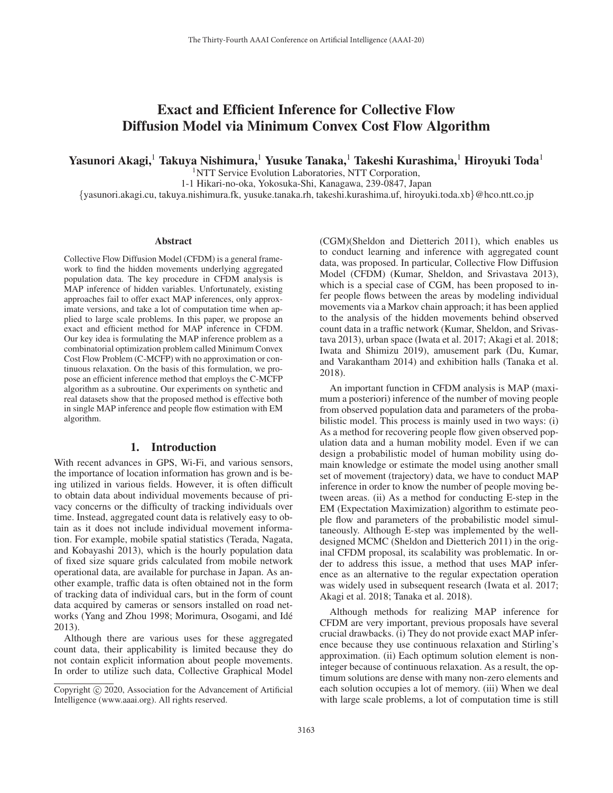# Exact and Efficient Inference for Collective Flow Diffusion Model via Minimum Convex Cost Flow Algorithm

Yasunori Akagi,<sup>1</sup> Takuya Nishimura,<sup>1</sup> Yusuke Tanaka,<sup>1</sup> Takeshi Kurashima,<sup>1</sup> Hiroyuki Toda<sup>1</sup>

<sup>1</sup>NTT Service Evolution Laboratories, NTT Corporation,

1-1 Hikari-no-oka, Yokosuka-Shi, Kanagawa, 239-0847, Japan

{yasunori.akagi.cu, takuya.nishimura.fk, yusuke.tanaka.rh, takeshi.kurashima.uf, hiroyuki.toda.xb}@hco.ntt.co.jp

#### Abstract

Collective Flow Diffusion Model (CFDM) is a general framework to find the hidden movements underlying aggregated population data. The key procedure in CFDM analysis is MAP inference of hidden variables. Unfortunately, existing approaches fail to offer exact MAP inferences, only approximate versions, and take a lot of computation time when applied to large scale problems. In this paper, we propose an exact and efficient method for MAP inference in CFDM. Our key idea is formulating the MAP inference problem as a combinatorial optimization problem called Minimum Convex Cost Flow Problem (C-MCFP) with no approximation or continuous relaxation. On the basis of this formulation, we propose an efficient inference method that employs the C-MCFP algorithm as a subroutine. Our experiments on synthetic and real datasets show that the proposed method is effective both in single MAP inference and people flow estimation with EM algorithm.

# 1. Introduction

With recent advances in GPS, Wi-Fi, and various sensors, the importance of location information has grown and is being utilized in various fields. However, it is often difficult to obtain data about individual movements because of privacy concerns or the difficulty of tracking individuals over time. Instead, aggregated count data is relatively easy to obtain as it does not include individual movement information. For example, mobile spatial statistics (Terada, Nagata, and Kobayashi 2013), which is the hourly population data of fixed size square grids calculated from mobile network operational data, are available for purchase in Japan. As another example, traffic data is often obtained not in the form of tracking data of individual cars, but in the form of count data acquired by cameras or sensors installed on road networks (Yang and Zhou 1998; Morimura, Osogami, and Ide´ 2013).

Although there are various uses for these aggregated count data, their applicability is limited because they do not contain explicit information about people movements. In order to utilize such data, Collective Graphical Model

(CGM)(Sheldon and Dietterich 2011), which enables us to conduct learning and inference with aggregated count data, was proposed. In particular, Collective Flow Diffusion Model (CFDM) (Kumar, Sheldon, and Srivastava 2013), which is a special case of CGM, has been proposed to infer people flows between the areas by modeling individual movements via a Markov chain approach; it has been applied to the analysis of the hidden movements behind observed count data in a traffic network (Kumar, Sheldon, and Srivastava 2013), urban space (Iwata et al. 2017; Akagi et al. 2018; Iwata and Shimizu 2019), amusement park (Du, Kumar, and Varakantham 2014) and exhibition halls (Tanaka et al. 2018).

An important function in CFDM analysis is MAP (maximum a posteriori) inference of the number of moving people from observed population data and parameters of the probabilistic model. This process is mainly used in two ways: (i) As a method for recovering people flow given observed population data and a human mobility model. Even if we can design a probabilistic model of human mobility using domain knowledge or estimate the model using another small set of movement (trajectory) data, we have to conduct MAP inference in order to know the number of people moving between areas. (ii) As a method for conducting E-step in the EM (Expectation Maximization) algorithm to estimate people flow and parameters of the probabilistic model simultaneously. Although E-step was implemented by the welldesigned MCMC (Sheldon and Dietterich 2011) in the original CFDM proposal, its scalability was problematic. In order to address this issue, a method that uses MAP inference as an alternative to the regular expectation operation was widely used in subsequent research (Iwata et al. 2017; Akagi et al. 2018; Tanaka et al. 2018).

Although methods for realizing MAP inference for CFDM are very important, previous proposals have several crucial drawbacks. (i) They do not provide exact MAP inference because they use continuous relaxation and Stirling's approximation. (ii) Each optimum solution element is noninteger because of continuous relaxation. As a result, the optimum solutions are dense with many non-zero elements and each solution occupies a lot of memory. (iii) When we deal with large scale problems, a lot of computation time is still

Copyright  $\odot$  2020, Association for the Advancement of Artificial Intelligence (www.aaai.org). All rights reserved.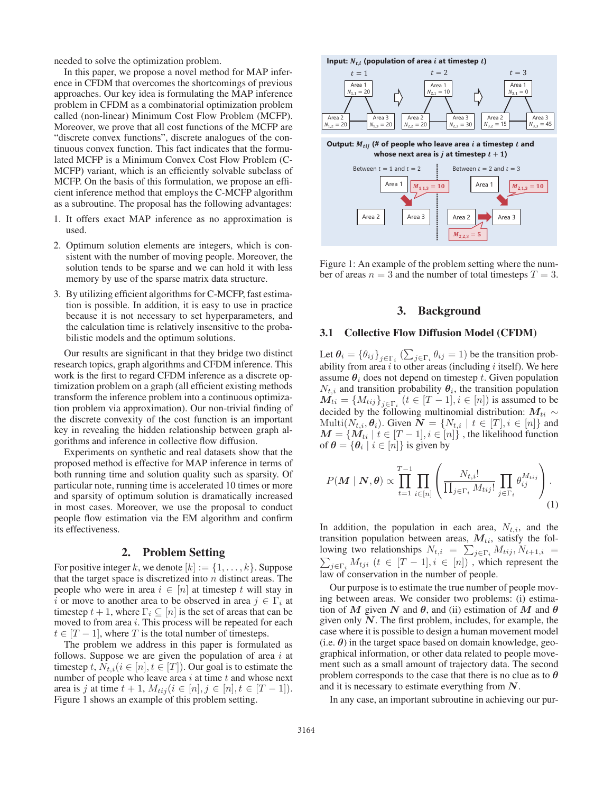needed to solve the optimization problem.

In this paper, we propose a novel method for MAP inference in CFDM that overcomes the shortcomings of previous approaches. Our key idea is formulating the MAP inference problem in CFDM as a combinatorial optimization problem called (non-linear) Minimum Cost Flow Problem (MCFP). Moreover, we prove that all cost functions of the MCFP are "discrete convex functions", discrete analogues of the continuous convex function. This fact indicates that the formulated MCFP is a Minimum Convex Cost Flow Problem (C-MCFP) variant, which is an efficiently solvable subclass of MCFP. On the basis of this formulation, we propose an efficient inference method that employs the C-MCFP algorithm as a subroutine. The proposal has the following advantages:

- 1. It offers exact MAP inference as no approximation is used.
- 2. Optimum solution elements are integers, which is consistent with the number of moving people. Moreover, the solution tends to be sparse and we can hold it with less memory by use of the sparse matrix data structure.
- 3. By utilizing efficient algorithms for C-MCFP, fast estimation is possible. In addition, it is easy to use in practice because it is not necessary to set hyperparameters, and the calculation time is relatively insensitive to the probabilistic models and the optimum solutions.

Our results are significant in that they bridge two distinct research topics, graph algorithms and CFDM inference. This work is the first to regard CFDM inference as a discrete optimization problem on a graph (all efficient existing methods transform the inference problem into a continuous optimization problem via approximation). Our non-trivial finding of the discrete convexity of the cost function is an important key in revealing the hidden relationship between graph algorithms and inference in collective flow diffusion.

Experiments on synthetic and real datasets show that the proposed method is effective for MAP inference in terms of both running time and solution quality such as sparsity. Of particular note, running time is accelerated 10 times or more and sparsity of optimum solution is dramatically increased in most cases. Moreover, we use the proposal to conduct people flow estimation via the EM algorithm and confirm its effectiveness.

# 2. Problem Setting

For positive integer k, we denote  $[k] := \{1, \ldots, k\}$ . Suppose that the target space is discretized into  $n$  distinct areas. The people who were in area  $i \in [n]$  at timestep t will stay in i or move to another area to be observed in area  $j \in \Gamma_i$  at timestep  $t + 1$ , where  $\Gamma_i \subseteq [n]$  is the set of areas that can be moved to from area  $i$ . This process will be repeated for each  $t \in [T-1]$ , where T is the total number of timesteps.

The problem we address in this paper is formulated as follows. Suppose we are given the population of area  $i$  at timestep t,  $N_{t,i}$  ( $i \in [n], t \in [T]$ ). Our goal is to estimate the number of people who leave area  $i$  at time  $t$  and whose next area is j at time  $t + 1$ ,  $M_{tij}$   $(i \in [n], j \in [n], t \in [T - 1]).$ Figure 1 shows an example of this problem setting.



Figure 1: An example of the problem setting where the number of areas  $n = 3$  and the number of total timesteps  $T = 3$ .

# 3. Background

## 3.1 Collective Flow Diffusion Model (CFDM)

Let  $\theta_i = {\theta_{ij}}_{j \in \Gamma_i}$  ( $\sum_{j \in \Gamma_i} \theta_{ij} = 1$ ) be the transition probability from area  $i$  to other areas (including  $i$  itself). We here assume  $\theta_i$  does not depend on timestep t. Given population  $N_{t,i}$  and transition probability  $\theta_i$ , the transition population  $M_{ti} = \{M_{tij}\}_{j \in \Gamma_i}$   $(t \in [T-1], i \in [n])$  is assumed to be decided by the following multinomial distribution: *M*<sub>ti</sub> ∼ Multi $(N_{t,i}, \theta_i)$ . Given  $\mathbf{N} = \{N_{t,i} \mid t \in [T], i \in [n]\}$  and  $M = \{M_{ti} | t \in [T-1], i \in [n]\}\$ , the likelihood function of  $\theta = {\theta_i | i \in [n]}$  is given by

$$
P(\boldsymbol{M} \mid \boldsymbol{N}, \boldsymbol{\theta}) \propto \prod_{t=1}^{T-1} \prod_{i \in [n]} \left( \frac{N_{t,i}!}{\prod_{j \in \Gamma_i} M_{tij}!} \prod_{j \in \Gamma_i} \theta_{ij}^{M_{tij}} \right). \tag{1}
$$

In addition, the population in each area,  $N_{t,i}$ , and the transition population between areas,  $M_{ti}$ , satisfy the following two relationships  $N_{t,i} = \sum_{j \in \Gamma_i} M_{tij}, N_{t+1,i} = \sum_{i \in \Gamma_i} M_{tji}$  ( $t \in [T-1], i \in [n]$ ), which represent the  $\sum_{j \in \Gamma_i} M_{tji}$   $(t \in [T-1], i \in [n])$ , which represent the law of conservation in the number of people.

Our purpose is to estimate the true number of people moving between areas. We consider two problems: (i) estimation of *M* given *N* and  $\theta$ , and (ii) estimation of *M* and  $\theta$ given only *N*. The first problem, includes, for example, the case where it is possible to design a human movement model (i.e.  $\theta$ ) in the target space based on domain knowledge, geographical information, or other data related to people movement such as a small amount of trajectory data. The second problem corresponds to the case that there is no clue as to *θ* and it is necessary to estimate everything from *N*.

In any case, an important subroutine in achieving our pur-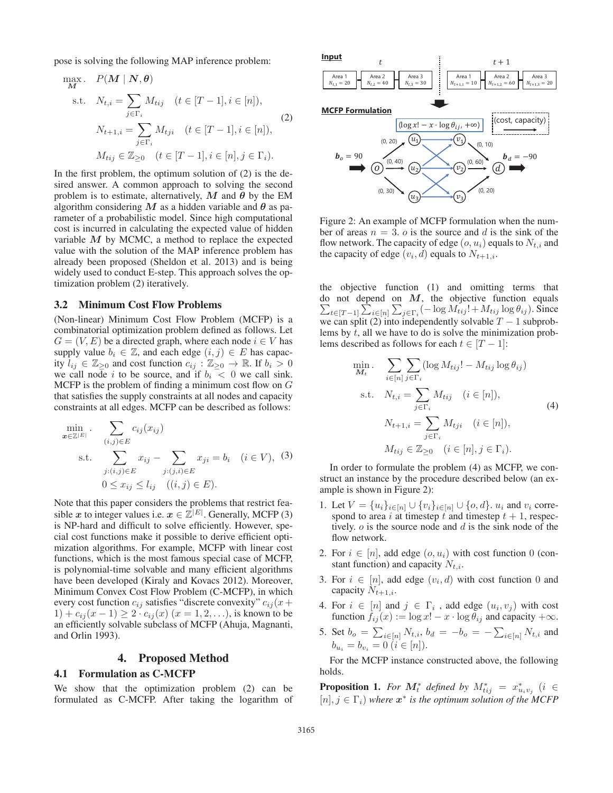pose is solving the following MAP inference problem:

$$
\max_{\mathbf{M}} \quad P(\mathbf{M} \mid \mathbf{N}, \boldsymbol{\theta})
$$
\n
$$
\text{s.t.} \quad N_{t,i} = \sum_{j \in \Gamma_i} M_{tij} \quad (t \in [T-1], i \in [n]),
$$
\n
$$
N_{t+1,i} = \sum_{j \in \Gamma_i} M_{tji} \quad (t \in [T-1], i \in [n]),
$$
\n
$$
M_{tij} \in \mathbb{Z}_{\geq 0} \quad (t \in [T-1], i \in [n], j \in \Gamma_i).
$$
\n
$$
(2)
$$

In the first problem, the optimum solution of  $(2)$  is the desired answer. A common approach to solving the second problem is to estimate, alternatively,  $M$  and  $\theta$  by the EM algorithm considering  $M$  as a hidden variable and  $\theta$  as parameter of a probabilistic model. Since high computational cost is incurred in calculating the expected value of hidden variable *M* by MCMC, a method to replace the expected value with the solution of the MAP inference problem has already been proposed (Sheldon et al. 2013) and is being widely used to conduct E-step. This approach solves the optimization problem (2) iteratively.

#### 3.2 Minimum Cost Flow Problems

(Non-linear) Minimum Cost Flow Problem (MCFP) is a combinatorial optimization problem defined as follows. Let  $G = (V, E)$  be a directed graph, where each node  $i \in V$  has supply value  $b_i \in \mathbb{Z}$ , and each edge  $(i, j) \in E$  has capacity  $l_{ij} \in \mathbb{Z}_{\geq 0}$  and cost function  $c_{ij} : \mathbb{Z}_{\geq 0} \to \mathbb{R}$ . If  $b_i > 0$ we call node i to be source, and if  $b_i < 0$  we call sink. MCFP is the problem of finding a minimum cost flow on  $G$ that satisfies the supply constraints at all nodes and capacity constraints at all edges. MCFP can be described as follows:

$$
\min_{\mathbf{x} \in \mathbb{Z}^{|E|}} \sum_{(i,j) \in E} c_{ij}(x_{ij})
$$
\n
$$
\text{s.t.} \sum_{j:(i,j) \in E} x_{ij} - \sum_{j:(j,i) \in E} x_{ji} = b_i \quad (i \in V), \quad (3)
$$
\n
$$
0 \le x_{ij} \le l_{ij} \quad ((i,j) \in E).
$$

Note that this paper considers the problems that restrict feasible *x* to integer values i.e.  $x \in \mathbb{Z}^{|E|}$ . Generally, MCFP (3) is NP-hard and difficult to solve efficiently. However, special cost functions make it possible to derive efficient optimization algorithms. For example, MCFP with linear cost functions, which is the most famous special case of MCFP, is polynomial-time solvable and many efficient algorithms have been developed (Kiraly and Kovacs 2012). Moreover, Minimum Convex Cost Flow Problem (C-MCFP), in which every cost function  $c_{ij}$  satisfies "discrete convexity"  $c_{ij}(x+)$  $1) + c_{ij}(x - 1) \geq 2 \cdot c_{ij}(x)$   $(x = 1, 2, \ldots)$ , is known to be an efficiently solvable subclass of MCFP (Ahuja, Magnanti, and Orlin 1993).

# 4. Proposed Method

#### 4.1 Formulation as C-MCFP

We show that the optimization problem (2) can be formulated as C-MCFP. After taking the logarithm of



Figure 2: An example of MCFP formulation when the number of areas  $n = 3$ . o is the source and d is the sink of the flow network. The capacity of edge  $(o, u_i)$  equals to  $N_{t,i}$  and the capacity of edge  $(v_i, d)$  equals to  $N_{t+1,i}$ .

the objective function (1) and omitting terms that do not depend on *M*, the objective function equals  $\sum_{t \in [T-1]} \sum_{i \in [n]} \sum_{j \in \Gamma_i} (-\log M_{tij}! + M_{tij} \log \theta_{ij}).$  Since we can split (2) into independently solvable  $T - 1$  subproblems by t, all we have to do is solve the minimization problems described as follows for each  $t \in [T-1]$ :

$$
\min_{M_t} \sum_{i \in [n]} \sum_{j \in \Gamma_i} (\log M_{tij}! - M_{tij} \log \theta_{ij})
$$
\n
$$
\text{s.t.} \quad N_{t,i} = \sum_{j \in \Gamma_i} M_{tij} \quad (i \in [n]),
$$
\n
$$
N_{t+1,i} = \sum_{j \in \Gamma_i} M_{tji} \quad (i \in [n]),
$$
\n
$$
M_{tij} \in \mathbb{Z}_{\geq 0} \quad (i \in [n], j \in \Gamma_i).
$$
\n
$$
(4)
$$

In order to formulate the problem (4) as MCFP, we construct an instance by the procedure described below (an example is shown in Figure 2):

- 1. Let  $V = \{u_i\}_{i \in [n]} \cup \{v_i\}_{i \in [n]} \cup \{o, d\}$ .  $u_i$  and  $v_i$  correspond to area i at timestep t and timestep  $t + 1$ , respectively.  $o$  is the source node and  $d$  is the sink node of the flow network.
- 2. For  $i \in [n]$ , add edge  $(o, u_i)$  with cost function 0 (constant function) and capacity  $N_{t,i}$ .
- 3. For  $i \in [n]$ , add edge  $(v_i, d)$  with cost function 0 and capacity  $N_{t+1,i}$ .
- 4. For  $i \in [n]$  and  $j \in \Gamma_i$ , add edge  $(u_i, v_j)$  with cost function  $f_{ij}(x) := \log x! - x \cdot \log \theta_{ij}$  and capacity  $+\infty$ .
- 5. Set  $b_o = \sum_{i \in [n]} N_{t,i}$ ,  $b_d = -b_o = -\sum_{i \in [n]} N_{t,i}$  and  $b_{u_i} = b_{v_i} = 0 \ (i \in [n]).$

For the MCFP instance constructed above, the following holds.

**Proposition 1.** For  $M_t^*$  defined by  $M_{tij}^* = x_{u_iv_j}^*$  (i  $\in$  $[n], j \in \Gamma_i$ ) where  $x^*$  *is the optimum solution of the MCFP*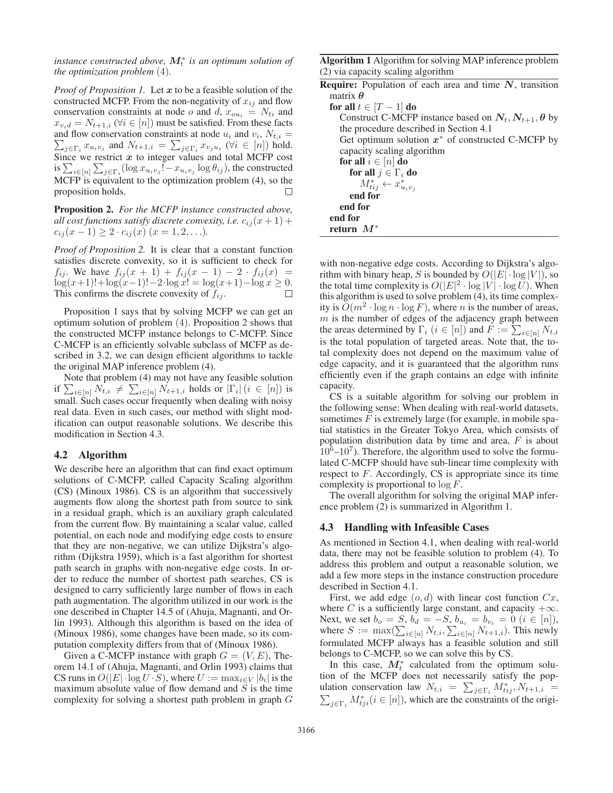*instance constructed above,*  $M_t^*$  *is an optimum solution of the optimization problem* (4)*.*

*Proof of Proposition 1.* Let *x* to be a feasible solution of the constructed MCFP. From the non-negativity of  $x_{ij}$  and flow conservation constraints at node o and d,  $x_{ou_i} = N_{ti}$  and  $x_{v_i,d} = N_{t+1,i}$  ( $\forall i \in [n]$ ) must be satisfied. From these facts and flow conservation constraints at node  $u_i$  and  $v_i$ ,  $N_{t,i} =$  $\sum_{j \in \Gamma_i} x_{u_i v_j}$  and  $N_{t+1,i} = \sum_{j \in \Gamma_i} x_{v_j u_i}$  ( $\forall i \in [n]$ ) hold.<br>Since we restrict *x* to integer values and total MCFP cost is  $\sum_{i\in[n]} \sum_{j\in\Gamma_i} (\log x_{u_iv_j}! - x_{u_iv_j} \log \theta_{ij})$ , the constructed MCFP is equivalent to the optimization problem (4), so the proposition holds. П

Proposition 2. *For the MCFP instance constructed above, all cost functions satisfy discrete convexity, i.e.*  $c_{ij}(x+1)$  +  $c_{ij}(x-1) \geq 2 \cdot c_{ij}(x)$  ( $x = 1, 2, \ldots$ ).

*Proof of Proposition 2.* It is clear that a constant function satisfies discrete convexity, so it is sufficient to check for  $f_{ij}$ . We have  $f_{ij}(x + 1) + f_{ij}(x - 1) - 2 \cdot f_{ij}(x) =$ log(x+1)!+log(x−1)!−2·log x! = log(x+1)−log x ≥ 0. This confirms the discrete convexity of  $f_{ij}$ .

Proposition 1 says that by solving MCFP we can get an optimum solution of problem (4). Proposition 2 shows that the constructed MCFP instance belongs to C-MCFP. Since C-MCFP is an efficiently solvable subclass of MCFP as described in 3.2, we can design efficient algorithms to tackle the original MAP inference problem (4).

Note that problem (4) may not have any feasible solution if  $\sum_{i \in [n]} N_{t,i} \neq \sum_{i \in [n]} N_{t+1,i}$  holds or  $|\Gamma_i|$   $(i \in [n])$  is small. Such cases occur frequently when dealing with noisy real data. Even in such cases, our method with slight modification can output reasonable solutions. We describe this modification in Section 4.3.

# 4.2 Algorithm

We describe here an algorithm that can find exact optimum solutions of C-MCFP, called Capacity Scaling algorithm (CS) (Minoux 1986). CS is an algorithm that successively augments flow along the shortest path from source to sink in a residual graph, which is an auxiliary graph calculated from the current flow. By maintaining a scalar value, called potential, on each node and modifying edge costs to ensure that they are non-negative, we can utilize Dijkstra's algorithm (Dijkstra 1959), which is a fast algorithm for shortest path search in graphs with non-negative edge costs. In order to reduce the number of shortest path searches, CS is designed to carry sufficiently large number of flows in each path augmentation. The algorithm utilized in our work is the one described in Chapter 14.5 of (Ahuja, Magnanti, and Orlin 1993). Although this algorithm is based on the idea of (Minoux 1986), some changes have been made, so its computation complexity differs from that of (Minoux 1986).

Given a C-MCFP instance with graph  $G = (V, E)$ , Theorem 14.1 of (Ahuja, Magnanti, and Orlin 1993) claims that CS runs in  $O(|E| \cdot \log U \cdot S)$ , where  $U := \max_{i \in V} |b_i|$  is the maximum absolute value of flow demand and  $S$  is the time complexity for solving a shortest path problem in graph G

Algorithm 1 Algorithm for solving MAP inference problem (2) via capacity scaling algorithm

| <b>Require:</b> Population of each area and time $N$ , transition  |
|--------------------------------------------------------------------|
| matrix $\boldsymbol{\theta}$                                       |
| for all $t \in [T-1]$ do                                           |
| Construct C-MCFP instance based on $N_t$ , $N_{t+1}$ , $\theta$ by |
| the procedure described in Section 4.1                             |
| Get optimum solution $x^*$ of constructed C-MCFP by                |
| capacity scaling algorithm                                         |
| for all $i \in [n]$ do                                             |
| for all $j \in \Gamma_i$ do                                        |
| $M_{tij}^* \leftarrow x_{u_i v_j}^*$                               |
| end for                                                            |
| end for                                                            |
| end for                                                            |
| return $M^*$                                                       |

with non-negative edge costs. According to Dijkstra's algorithm with binary heap, S is bounded by  $O(|E| \cdot \log |V|)$ , so the total time complexity is  $O(|E|^2 \cdot \log |V| \cdot \log U)$ . When this algorithm is used to solve problem (4), its time complexity is  $O(m^2 \cdot \log n \cdot \log F)$ , where *n* is the number of areas,  $m$  is the number of edges of the adjacency graph between the areas determined by  $\Gamma_i$   $(i \in [n])$  and  $F := \sum_{i \in [n]} N_{t,i}$ is the total population of targeted areas. Note that, the total complexity does not depend on the maximum value of edge capacity, and it is guaranteed that the algorithm runs efficiently even if the graph contains an edge with infinite capacity.

CS is a suitable algorithm for solving our problem in the following sense: When dealing with real-world datasets, sometimes  $F$  is extremely large (for example, in mobile spatial statistics in the Greater Tokyo Area, which consists of population distribution data by time and area,  $F$  is about  $10^6$ – $10^7$ ). Therefore, the algorithm used to solve the formulated C-MCFP should have sub-linear time complexity with respect to F. Accordingly, CS is appropriate since its time complexity is proportional to  $\log F$ .

The overall algorithm for solving the original MAP inference problem (2) is summarized in Algorithm 1.

#### 4.3 Handling with Infeasible Cases

As mentioned in Section 4.1, when dealing with real-world data, there may not be feasible solution to problem (4). To address this problem and output a reasonable solution, we add a few more steps in the instance construction procedure described in Section 4.1.

First, we add edge  $(o, d)$  with linear cost function  $Cx$ , where C is a sufficiently large constant, and capacity  $+\infty$ . Next, we set  $b_o = S$ ,  $b_d = -S$ ,  $b_{u_i} = b_{v_i} = 0$   $(i \in [n]),$ where  $S := \max(\sum_{i \in [n]} N_{t,i}, \sum_{i \in [n]} N_{t+1,i})$ . This newly formulated MCFP always has a feasible solution and still belongs to C-MCFP, so we can solve this by CS.

In this case,  $M_t^*$  calculated from the optimum solution of the MCFP does not necessarily satisfy the population conservation law  $N_{t,i} = \sum_{j \in \Gamma_i} M_{tij}^*, N_{t+1,i} =$  $\sum_{j \in \Gamma_i} M^*_{tji} (i \in [n])$ , which are the constraints of the origi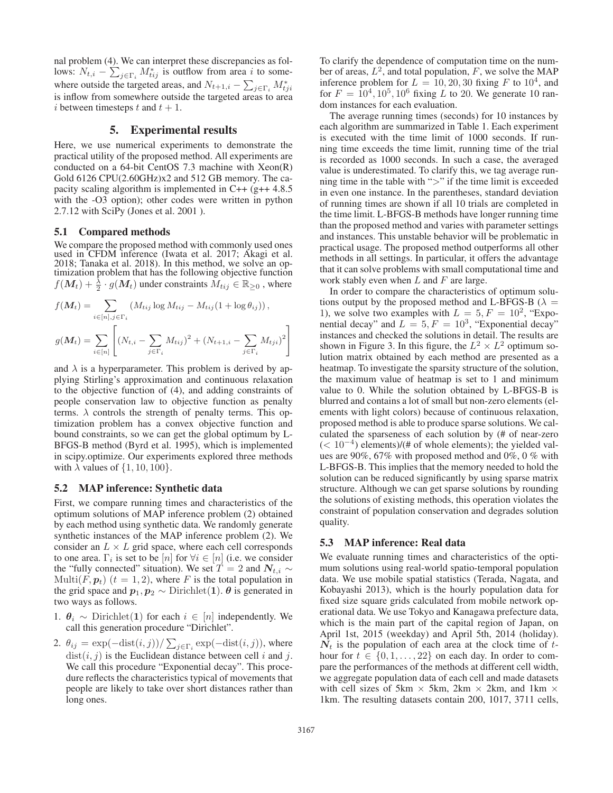nal problem (4). We can interpret these discrepancies as follows:  $N_{t,i} - \sum_{j \in \Gamma_i} M_{tij}^*$  is outflow from area i to somewhere outside the targeted areas, and  $N_{t+1,i} - \sum_{j \in \Gamma_i} M^*_{tji}$ is inflow from somewhere outside the targeted areas to area i between timesteps t and  $t + 1$ .

# 5. Experimental results

Here, we use numerical experiments to demonstrate the practical utility of the proposed method. All experiments are conducted on a 64-bit CentOS 7.3 machine with Xeon(R) Gold 6126 CPU(2.60GHz)x2 and 512 GB memory. The capacity scaling algorithm is implemented in C++ (g++ 4.8.5 with the -O3 option); other codes were written in python 2.7.12 with SciPy (Jones et al. 2001 ).

#### 5.1 Compared methods

We compare the proposed method with commonly used ones used in CFDM inference (Iwata et al. 2017; Akagi et al. 2018; Tanaka et al. 2018). In this method, we solve an optimization problem that has the following objective function  $f(\bm{M}_t) + \frac{\lambda}{2} \cdot g(\bm{M}_t)$  under constraints  $M_{tij} \in \mathbb{R}_{\geq 0}$  , where

$$
f(\mathbf{M}_{t}) = \sum_{i \in [n], j \in \Gamma_{i}} (M_{tij} \log M_{tij} - M_{tij} (1 + \log \theta_{ij})),
$$
  

$$
g(\mathbf{M}_{t}) = \sum_{i \in [n]} \left[ (N_{t,i} - \sum_{j \in \Gamma_{i}} M_{tij})^{2} + (N_{t+1,i} - \sum_{j \in \Gamma_{i}} M_{tji})^{2} \right]
$$

and  $\lambda$  is a hyperparameter. This problem is derived by applying Stirling's approximation and continuous relaxation to the objective function of (4), and adding constraints of people conservation law to objective function as penalty terms.  $\lambda$  controls the strength of penalty terms. This optimization problem has a convex objective function and bound constraints, so we can get the global optimum by L-BFGS-B method (Byrd et al. 1995), which is implemented in scipy.optimize. Our experiments explored three methods with  $\lambda$  values of  $\{1, 10, 100\}$ .

#### 5.2 MAP inference: Synthetic data

First, we compare running times and characteristics of the optimum solutions of MAP inference problem (2) obtained by each method using synthetic data. We randomly generate synthetic instances of the MAP inference problem (2). We consider an  $L \times L$  grid space, where each cell corresponds to one area.  $\Gamma_i$  is set to be [n] for  $\forall i \in [n]$  (i.e. we consider the "fully connected" situation). We set  $T = 2$  and  $N_{t,i} \sim$ Multi( $\vec{F}, \vec{p}_t$ ) ( $t = 1, 2$ ), where  $F$  is the total population in the grid space and  $p_1, p_2 \sim$  Dirichlet(1).  $\theta$  is generated in two ways as follows.

- 1. *θ*<sup>i</sup> ∼ Dirichlet(**1**) for each i ∈ [n] independently. We call this generation procedure "Dirichlet".
- 2.  $\theta_{ij} = \exp(-\text{dist}(i, j)) / \sum_{j \in \Gamma_i} \exp(-\text{dist}(i, j))$ , where  $dist(i, j)$  is the Euclidean distance between cell i and j. We call this procedure "Exponential decay". This procedure reflects the characteristics typical of movements that people are likely to take over short distances rather than long ones.

To clarify the dependence of computation time on the number of areas,  $L^2$ , and total population, F, we solve the MAP inference problem for  $L = 10, 20, 30$  fixing F to  $10<sup>4</sup>$ , and for  $F = 10^4, 10^5, 10^6$  fixing L to 20. We generate 10 random instances for each evaluation.

The average running times (seconds) for 10 instances by each algorithm are summarized in Table 1. Each experiment is executed with the time limit of 1000 seconds. If running time exceeds the time limit, running time of the trial is recorded as 1000 seconds. In such a case, the averaged value is underestimated. To clarify this, we tag average running time in the table with ">" if the time limit is exceeded in even one instance. In the parentheses, standard deviation of running times are shown if all 10 trials are completed in the time limit. L-BFGS-B methods have longer running time than the proposed method and varies with parameter settings and instances. This unstable behavior will be problematic in practical usage. The proposed method outperforms all other methods in all settings. In particular, it offers the advantage that it can solve problems with small computational time and work stably even when  $L$  and  $F$  are large.

In order to compare the characteristics of optimum solutions output by the proposed method and L-BFGS-B ( $\lambda$  = 1), we solve two examples with  $L = 5, F = 10^2$ , "Exponential decay" and  $L = 5, F = 10<sup>3</sup>$ , "Exponential decay" instances and checked the solutions in detail. The results are shown in Figure 3. In this figure, the  $L^2 \times L^2$  optimum solution matrix obtained by each method are presented as a heatmap. To investigate the sparsity structure of the solution, the maximum value of heatmap is set to 1 and minimum value to 0. While the solution obtained by L-BFGS-B is blurred and contains a lot of small but non-zero elements (elements with light colors) because of continuous relaxation, proposed method is able to produce sparse solutions. We calculated the sparseness of each solution by (# of near-zero  $(< 10^{-4}$ ) elements)/(# of whole elements); the yielded values are 90%, 67% with proposed method and 0%, 0 % with L-BFGS-B. This implies that the memory needed to hold the solution can be reduced significantly by using sparse matrix structure. Although we can get sparse solutions by rounding the solutions of existing methods, this operation violates the constraint of population conservation and degrades solution quality.

#### 5.3 MAP inference: Real data

We evaluate running times and characteristics of the optimum solutions using real-world spatio-temporal population data. We use mobile spatial statistics (Terada, Nagata, and Kobayashi 2013), which is the hourly population data for fixed size square grids calculated from mobile network operational data. We use Tokyo and Kanagawa prefecture data, which is the main part of the capital region of Japan, on April 1st, 2015 (weekday) and April 5th, 2014 (holiday).  $N_t$  is the population of each area at the clock time of  $t$ hour for  $t \in \{0, 1, \ldots, 22\}$  on each day. In order to compare the performances of the methods at different cell width, we aggregate population data of each cell and made datasets with cell sizes of 5km  $\times$  5km, 2km  $\times$  2km, and 1km  $\times$ 1km. The resulting datasets contain 200, 1017, 3711 cells,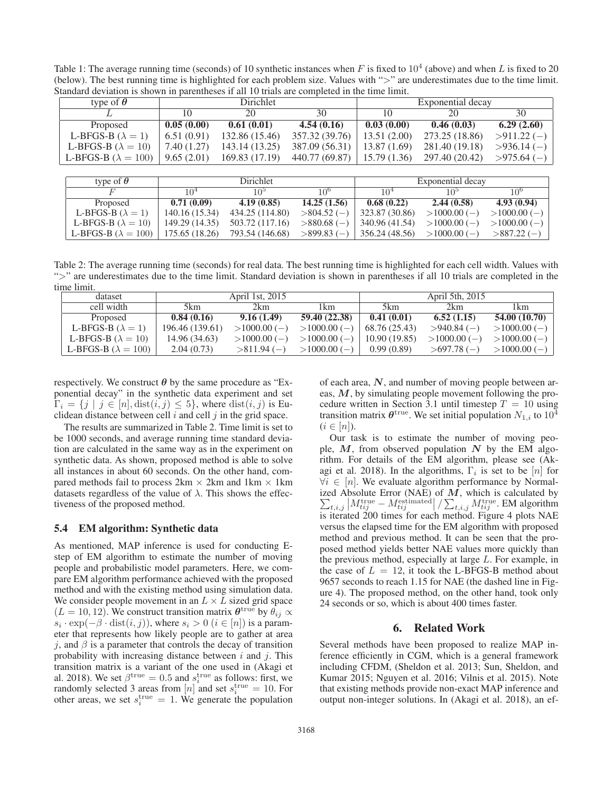Table 1: The average running time (seconds) of 10 synthetic instances when  $F$  is fixed to 10<sup>4</sup> (above) and when  $L$  is fixed to 20 (below). The best running time is highlighted for each problem size. Values with ">" are underestimates due to the time limit. Standard deviation is shown in parentheses if all 10 trials are completed in the time limit.

| type of $\theta$             | <b>Dirichlet</b> |                |                                | Exponential decay |                             |              |
|------------------------------|------------------|----------------|--------------------------------|-------------------|-----------------------------|--------------|
|                              | 10               | 20             | 30                             | 10                | 20                          | 30           |
| Proposed                     | 0.05(0.00)       | 0.61(0.01)     | 4.54(0.16)                     | 0.03(0.00)        | 0.46(0.03)                  | 6.29(2.60)   |
| L-BFGS-B $(\lambda = 1)$     | 6.51(0.91)       | 132.86 (15.46) | 357.32 (39.76)                 | 13.51(2.00)       | 273.25 (18.86)              | $>911.22(-)$ |
| L-BFGS-B ( $\lambda = 10$ )  | 7.40 (1.27)      | 143.14(13.25)  | 387.09 (56.31)                 | 13.87(1.69)       | $281.40(19.18) > 936.14(-)$ |              |
| L-BFGS-B ( $\lambda = 100$ ) | 9.65(2.01)       | 169.83 (17.19) | $440.77(69.87)$   15.79 (1.36) |                   | $297.40(20.42) > 975.64(-)$ |              |

| type of $\theta$           | Dirichlet       |                 |                 | Exponential decay |               |                 |
|----------------------------|-----------------|-----------------|-----------------|-------------------|---------------|-----------------|
|                            | 10 <sup>4</sup> | 10 <sup>5</sup> | 10 <sup>6</sup> | 10 <sup>4</sup>   | 9∩1           | 10 <sup>6</sup> |
| Proposed                   | 0.71(0.09)      | 4.19(0.85)      | 14.25(1.56)     | 0.68(0.22)        | 2.44(0.58)    | 4.93(0.94)      |
| L-BFGS-B $(\lambda = 1)$   | 140.16 (15.34)  | 434.25 (114.80) | $>804.52(-)$    | 323.87(30.86)     | $>1000.00(-)$ | $>1000.00(-)$   |
| L-BFGS-B $(\lambda = 10)$  | 149.29 (14.35)  | 503.72 (117.16) | $>880.68$ (-)   | 340.96(41.54)     | $>1000.00(-)$ | $>1000.00(-)$   |
| L-BFGS-B $(\lambda = 100)$ | 175.65 (18.26)  | 793.54 (146.68) | $>899.83(-)$    | 356.24(48.56)     | $>1000.00(-)$ | $>887.22(-)$    |

Table 2: The average running time (seconds) for real data. The best running time is highlighted for each cell width. Values with ">" are underestimates due to the time limit. Standard deviation is shown in parentheses if all 10 trials are completed in the time limit.

| dataset                      |                 | April 1st, 2015 |               |               | April 5th, 2015 |               |
|------------------------------|-----------------|-----------------|---------------|---------------|-----------------|---------------|
| cell width                   | 5km             | 2km             | 1 km          | 5km           | 2km             | l km.         |
| Proposed                     | 0.84(0.16)      | 9.16(1.49)      | 59.40 (22.38) | 0.41(0.01)    | 6.52(1.15)      | 54.00 (10.70) |
| L-BFGS-B $(\lambda = 1)$     | 196.46 (139.61) | $>1000.00(-)$   | $>1000.00(-)$ | 68.76 (25.43) | $>940.84$ (-)   | $>1000.00(-)$ |
| L-BFGS-B $(\lambda = 10)$    | 14.96 (34.63)   | $>1000.00(-)$   | $>1000.00(-)$ | 10.90(19.85)  | $>1000.00(-)$   | $>1000.00(-)$ |
| L-BFGS-B ( $\lambda = 100$ ) | 2.04(0.73)      | $>811.94$ (-)   | $>1000.00(-)$ | 0.99(0.89)    | $>697.78(-)$    | $>1000.00(-)$ |

respectively. We construct  $\theta$  by the same procedure as "Exponential decay" in the synthetic data experiment and set  $\Gamma_i = \{j \mid j \in [n], \text{dist}(i, j) \leq 5\}$ , where  $\text{dist}(i, j)$  is Euclidean distance between cell  $i$  and cell  $j$  in the grid space.

The results are summarized in Table 2. Time limit is set to be 1000 seconds, and average running time standard deviation are calculated in the same way as in the experiment on synthetic data. As shown, proposed method is able to solve all instances in about 60 seconds. On the other hand, compared methods fail to process  $2km \times 2km$  and  $1km \times 1km$ datasets regardless of the value of  $\lambda$ . This shows the effectiveness of the proposed method.

# 5.4 EM algorithm: Synthetic data

As mentioned, MAP inference is used for conducting Estep of EM algorithm to estimate the number of moving people and probabilistic model parameters. Here, we compare EM algorithm performance achieved with the proposed method and with the existing method using simulation data. We consider people movement in an  $L \times L$  sized grid space  $(L = 10, 12)$ . We construct transition matrix  $\theta^{\text{true}}$  by  $\theta_{ij} \propto$  $s_i \cdot \exp(-\beta \cdot \text{dist}(i, j))$ , where  $s_i > 0$   $(i \in [n])$  is a parameter that represents how likely people are to gather at area j, and  $\beta$  is a parameter that controls the decay of transition probability with increasing distance between  $i$  and  $j$ . This transition matrix is a variant of the one used in (Akagi et al. 2018). We set  $\beta^{\text{true}} = 0.5$  and  $s_i^{\text{true}}$  as follows: first, we randomly selected 3 areas from [n] and set  $s_i^{\text{true}} = 10$ . For other areas, we set  $s_i^{\text{true}} = 1$ . We generate the population

of each area, *N*, and number of moving people between areas, *M*, by simulating people movement following the procedure written in Section 3.1 until timestep  $T = 10$  using transition matrix  $\boldsymbol{\theta}^{\text{true}}$ . We set initial population  $N_{1,i}$  to  $10^{\overline{4}}$  $(i \in [n])$ .

Our task is to estimate the number of moving people,  $M$ , from observed population  $N$  by the EM algorithm. For details of the EM algorithm, please see (Akagi et al. 2018). In the algorithms,  $\Gamma_i$  is set to be [n] for  $\forall i \in [n]$ . We evaluate algorithm performance by Normalized Absolute Error (NAE) of *M*, which is calculated by  $\sum_{t,i,j} |M_{tij}^{\text{true}} - M_{tij}^{\text{estimate}}| / \sum_{t,i,j} M_{tij}^{\text{true}}$ . EM algorithm is iterated 200 times for each method. Figure 4 plots NAE versus the elapsed time for the EM algorithm with proposed method and previous method. It can be seen that the proposed method yields better NAE values more quickly than the previous method, especially at large L. For example, in the case of  $L = 12$ , it took the L-BFGS-B method about 9657 seconds to reach 1.15 for NAE (the dashed line in Figure 4). The proposed method, on the other hand, took only 24 seconds or so, which is about 400 times faster.

# 6. Related Work

Several methods have been proposed to realize MAP inference efficiently in CGM, which is a general framework including CFDM, (Sheldon et al. 2013; Sun, Sheldon, and Kumar 2015; Nguyen et al. 2016; Vilnis et al. 2015). Note that existing methods provide non-exact MAP inference and output non-integer solutions. In (Akagi et al. 2018), an ef-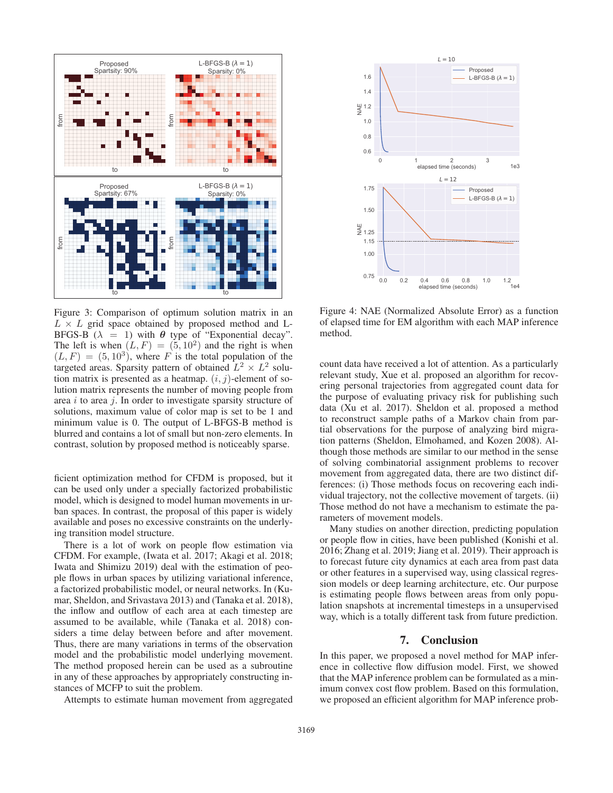

0 1 2 3 elapsed time (seco 0.6 0.8 1.0 y<br>2<br>2 1.4 1.6  $L = 10$ Proposed L-BEGS-B  $(\lambda = 1)$ 0.0 0.2 0.4 0.6 0.8 1.0 1.2 elapsed time (seconds) 1e4 0.75 1.00 1.15 ш<br>Ѯ 1.25 1.50 1.75  $L = 12$ Proposed L-BFGS-B  $(\lambda = 1)$ 

Figure 3: Comparison of optimum solution matrix in an  $L \times L$  grid space obtained by proposed method and L-BFGS-B ( $\lambda = 1$ ) with  $\theta$  type of "Exponential decay". The left is when  $(L, F) = (5, 10^2)$  and the right is when  $(L, F) = (5, 10<sup>3</sup>)$ , where F is the total population of the targeted areas. Sparsity pattern of obtained  $L^2 \times L^2$  solution matrix is presented as a heatmap.  $(i, j)$ -element of solution matrix represents the number of moving people from area  $i$  to area  $j$ . In order to investigate sparsity structure of solutions, maximum value of color map is set to be 1 and minimum value is 0. The output of L-BFGS-B method is blurred and contains a lot of small but non-zero elements. In contrast, solution by proposed method is noticeably sparse.

ficient optimization method for CFDM is proposed, but it can be used only under a specially factorized probabilistic model, which is designed to model human movements in urban spaces. In contrast, the proposal of this paper is widely available and poses no excessive constraints on the underlying transition model structure.

There is a lot of work on people flow estimation via CFDM. For example, (Iwata et al. 2017; Akagi et al. 2018; Iwata and Shimizu 2019) deal with the estimation of people flows in urban spaces by utilizing variational inference, a factorized probabilistic model, or neural networks. In (Kumar, Sheldon, and Srivastava 2013) and (Tanaka et al. 2018), the inflow and outflow of each area at each timestep are assumed to be available, while (Tanaka et al. 2018) considers a time delay between before and after movement. Thus, there are many variations in terms of the observation model and the probabilistic model underlying movement. The method proposed herein can be used as a subroutine in any of these approaches by appropriately constructing instances of MCFP to suit the problem.

Attempts to estimate human movement from aggregated

Figure 4: NAE (Normalized Absolute Error) as a function of elapsed time for EM algorithm with each MAP inference method.

count data have received a lot of attention. As a particularly relevant study, Xue et al. proposed an algorithm for recovering personal trajectories from aggregated count data for the purpose of evaluating privacy risk for publishing such data (Xu et al. 2017). Sheldon et al. proposed a method to reconstruct sample paths of a Markov chain from partial observations for the purpose of analyzing bird migration patterns (Sheldon, Elmohamed, and Kozen 2008). Although those methods are similar to our method in the sense of solving combinatorial assignment problems to recover movement from aggregated data, there are two distinct differences: (i) Those methods focus on recovering each individual trajectory, not the collective movement of targets. (ii) Those method do not have a mechanism to estimate the parameters of movement models.

Many studies on another direction, predicting population or people flow in cities, have been published (Konishi et al. 2016; Zhang et al. 2019; Jiang et al. 2019). Their approach is to forecast future city dynamics at each area from past data or other features in a supervised way, using classical regression models or deep learning architecture, etc. Our purpose is estimating people flows between areas from only population snapshots at incremental timesteps in a unsupervised way, which is a totally different task from future prediction.

#### 7. Conclusion

In this paper, we proposed a novel method for MAP inference in collective flow diffusion model. First, we showed that the MAP inference problem can be formulated as a minimum convex cost flow problem. Based on this formulation, we proposed an efficient algorithm for MAP inference prob